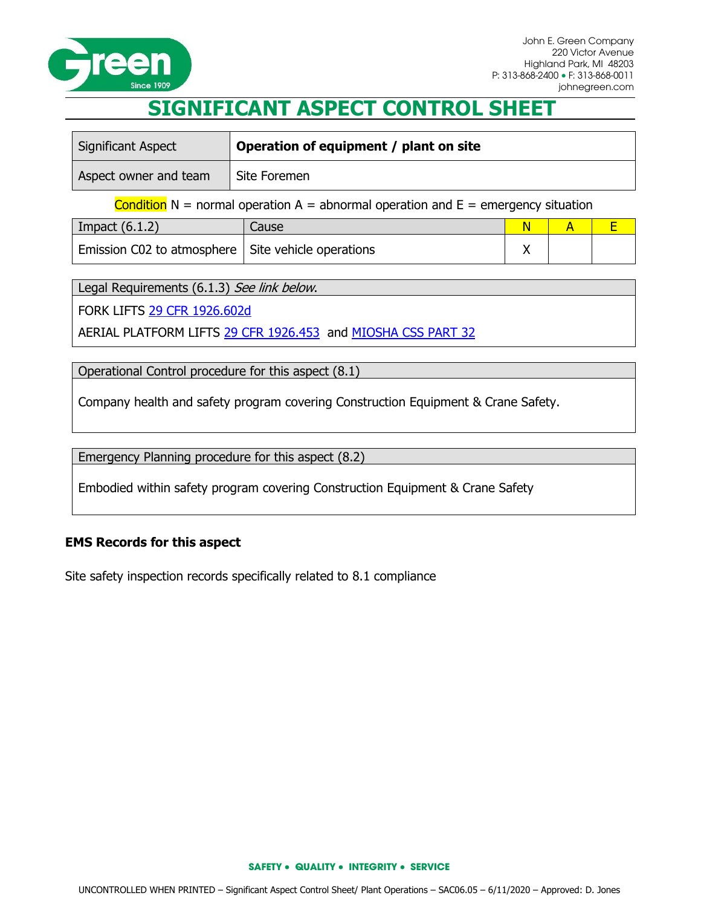

## **SIGNIFICANT ASPECT CONTROL SHEET**

| <b>Significant Aspect</b> | Operation of equipment / plant on site |
|---------------------------|----------------------------------------|
| Aspect owner and team     | Site Foremen                           |
|                           |                                        |

Condition  $N =$  normal operation  $A =$  abnormal operation and  $E =$  emergency situation

| Impact $(6.1.2)$                                     | Cause |  |  |
|------------------------------------------------------|-------|--|--|
| Emission C02 to atmosphere   Site vehicle operations |       |  |  |

Legal Requirements (6.1.3) See link below.

FORK LIFTS [29 CFR 1926.602d](http://www.osha.gov/pls/oshaweb/owadisp.show_document?p_table=DIRECTIVES&p_id=2277)

AERIAL PLATFORM LIFTS [29 CFR 1926.453](http://www.osha.gov/pls/oshaweb/owadisp.show_document?p_table=standards&p_id=10754) and [MIOSHA CSS PART 32](http://www.michigan.gov/documents/lara/lara_miosha_CS_32_5-01-2013_419360_7.pdf)

Operational Control procedure for this aspect (8.1)

Company health and safety program covering Construction Equipment & Crane Safety.

Emergency Planning procedure for this aspect (8.2)

Embodied within safety program covering Construction Equipment & Crane Safety

## **EMS Records for this aspect**

Site safety inspection records specifically related to 8.1 compliance